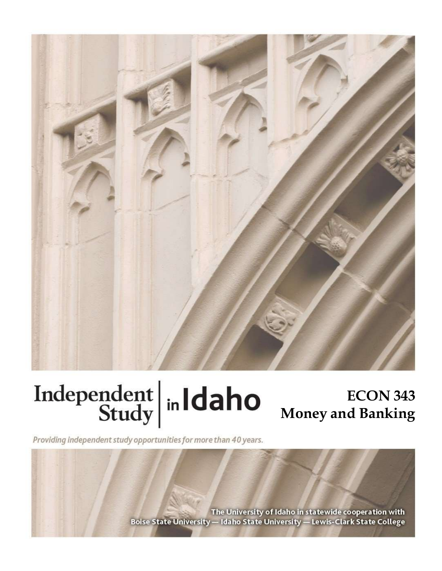

# Independent  $\left|\frac{1}{\text{study}}\right|$  in Idaho

# **ECON 343 Money and Banking**

Providing independent study opportunities for more than 40 years.

The University of Idaho in statewide cooperation with Boise State University - Idaho State University - Lewis-Clark State College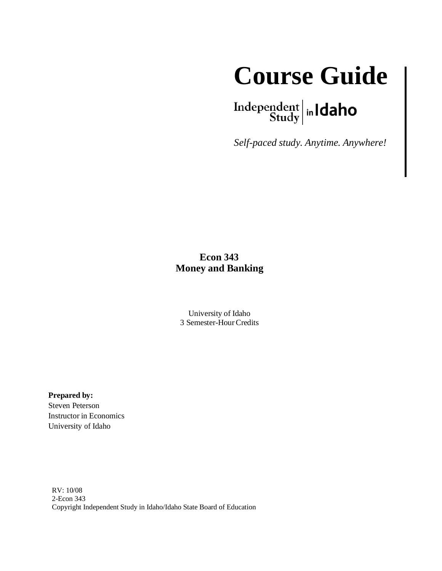

# $\left.\begin{array}{c|c} \textbf{Independent} & \textbf{h} \\ \textbf{Study} & \textbf{h} \end{array}\right.$

*Self-paced study. Anytime. Anywhere!*

#### **Econ 343 Money and Banking**

University of Idaho 3 Semester-HourCredits

**Prepared by:**

Steven Peterson Instructor in Economics University of Idaho

RV: 10/08 2-Econ 343 Copyright Independent Study in Idaho/Idaho State Board of Education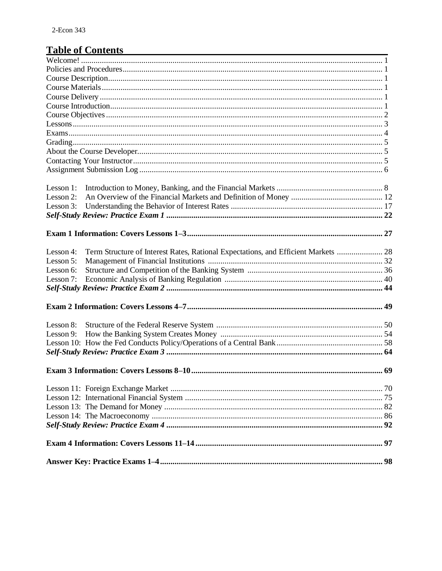# Table of Contents

| Lesson 1:                                                                                       |  |
|-------------------------------------------------------------------------------------------------|--|
| Lesson 2:                                                                                       |  |
| Lesson $3$ :                                                                                    |  |
|                                                                                                 |  |
|                                                                                                 |  |
|                                                                                                 |  |
| Term Structure of Interest Rates, Rational Expectations, and Efficient Markets  28<br>Lesson 4: |  |
| Lesson 5:                                                                                       |  |
| Lesson 6:                                                                                       |  |
| Lesson 7:                                                                                       |  |
|                                                                                                 |  |
|                                                                                                 |  |
|                                                                                                 |  |
| Lesson 8:                                                                                       |  |
| Lesson 9:                                                                                       |  |
|                                                                                                 |  |
|                                                                                                 |  |
|                                                                                                 |  |
|                                                                                                 |  |
|                                                                                                 |  |
|                                                                                                 |  |
|                                                                                                 |  |
|                                                                                                 |  |
|                                                                                                 |  |
|                                                                                                 |  |
|                                                                                                 |  |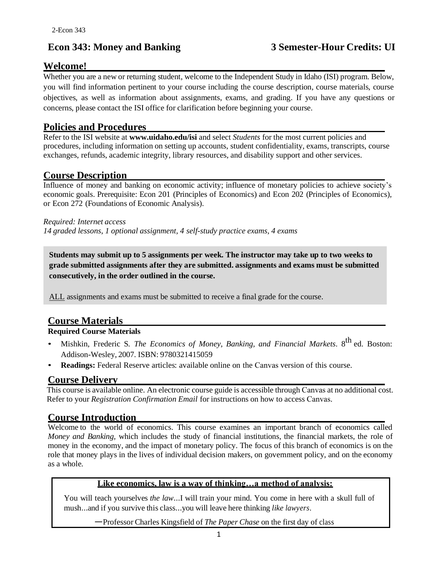# **Econ 343: Money and Banking 3 Semester-Hour Credits: UI**

# **Welcome!**

Whether you are a new or returning student, welcome to the Independent Study in Idaho (ISI) program. Below, you will find information pertinent to your course including the course description, course materials, course objectives, as well as information about assignments, exams, and grading. If you have any questions or concerns, please contact the ISI office for clarification before beginning your course.

#### **Policies and Procedures**

Refer to the ISI website at **www.uidaho.edu/isi** and select *Students* for the most current policies and procedures, including information on setting up accounts, student confidentiality, exams, transcripts, course exchanges, refunds, academic integrity, library resources, and disability support and other services.

# **Course Description**

Influence of money and banking on economic activity; influence of monetary policies to achieve society's economic goals. Prerequisite: Econ 201 (Principles of Economics) and Econ 202 (Principles of Economics), or Econ 272 (Foundations of Economic Analysis).

*Required: Internet access 14 graded lessons, 1 optional assignment, 4 self-study practice exams, 4 exams* 

**Students may submit up to 5 assignments per week. The instructor may take up to two weeks to grade submitted assignments after they are submitted. assignments and exams must be submitted consecutively, in the order outlined in the course.**

ALL assignments and exams must be submitted to receive a final grade for the course.

## **Course Materials**

#### **Required Course Materials**

- Mishkin, Frederic S. *The Economics of Money, Banking, and Financial Markets*. 8<sup>th</sup> ed. Boston: Addison-Wesley, 2007. ISBN: 9780321415059
- **Readings:** Federal Reserve articles: available online on the Canvas version of this course.

#### **Course Delivery**

This course is available online. An electronic course guide is accessible through Canvas at no additional cost. Refer to your *Registration Confirmation Email* for instructions on how to access Canvas.

#### **Course Introduction**

Welcome to the world of economics. This course examines an important branch of economics called *Money and Banking,* which includes the study of financial institutions, the financial markets, the role of money in the economy, and the impact of monetary policy. The focus of this branch of economics is on the role that money plays in the lives of individual decision makers, on government policy, and on the economy as a whole.

#### **Like economics, law is a way of thinking…a method of analysis:**

You will teach yourselves *the law*…I will train your mind. You come in here with a skull full of mush…and if you survive this class…you will leave here thinking *like lawyers*.

—Professor Charles Kingsfield of *The Paper Chase* on the first day of class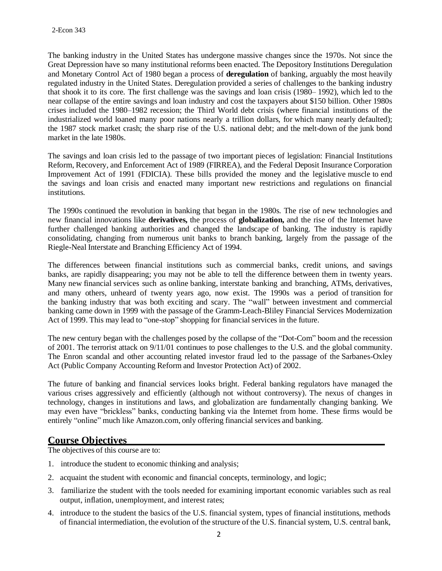The banking industry in the United States has undergone massive changes since the 1970s. Not since the Great Depression have so many institutional reforms been enacted. The Depository Institutions Deregulation and Monetary Control Act of 1980 began a process of **deregulation** of banking, arguably the most heavily regulated industry in the United States. Deregulation provided a series of challenges to the banking industry that shook it to its core. The first challenge was the savings and loan crisis (1980– 1992), which led to the near collapse of the entire savings and loan industry and cost the taxpayers about \$150 billion. Other 1980s crises included the 1980–1982 recession; the Third World debt crisis (where financial institutions of the industrialized world loaned many poor nations nearly a trillion dollars, for which many nearly defaulted); the 1987 stock market crash; the sharp rise of the U.S. national debt; and the melt-down of the junk bond market in the late 1980s.

The savings and loan crisis led to the passage of two important pieces of legislation: Financial Institutions Reform, Recovery, and Enforcement Act of 1989 (FIRREA), and the Federal Deposit Insurance Corporation Improvement Act of 1991 (FDICIA). These bills provided the money and the legislative muscle to end the savings and loan crisis and enacted many important new restrictions and regulations on financial institutions.

The 1990s continued the revolution in banking that began in the 1980s. The rise of new technologies and new financial innovations like **derivatives,** the process of **globalization,** and the rise of the Internet have further challenged banking authorities and changed the landscape of banking. The industry is rapidly consolidating, changing from numerous unit banks to branch banking, largely from the passage of the Riegle-Neal Interstate and Branching Efficiency Act of 1994.

The differences between financial institutions such as commercial banks, credit unions, and savings banks, are rapidly disappearing; you may not be able to tell the difference between them in twenty years. Many new financial services such as online banking, interstate banking and branching, ATMs, derivatives, and many others, unheard of twenty years ago, now exist. The 1990s was a period of transition for the banking industry that was both exciting and scary. The "wall" between investment and commercial banking came down in 1999 with the passage of the Gramm-Leach-Bliley Financial Services Modernization Act of 1999. This may lead to "one-stop" shopping for financial services in the future.

The new century began with the challenges posed by the collapse of the "Dot-Com" boom and the recession of 2001. The terrorist attack on 9/11/01 continues to pose challenges to the U.S. and the global community. The Enron scandal and other accounting related investor fraud led to the passage of the Sarbanes-Oxley Act (Public Company Accounting Reform and Investor Protection Act) of 2002.

The future of banking and financial services looks bright. Federal banking regulators have managed the various crises aggressively and efficiently (although not without controversy). The nexus of changes in technology, changes in institutions and laws, and globalization are fundamentally changing banking. We may even have "brickless" banks, conducting banking via the Internet from home. These firms would be entirely "online" much like Amazon.com, only offering financial services and banking.

#### **Course Objectives**

The objectives of this course are to:

- 1. introduce the student to economic thinking and analysis;
- 2. acquaint the student with economic and financial concepts, terminology, and logic;
- 3. familiarize the student with the tools needed for examining important economic variables such as real output, inflation, unemployment, and interest rates;
- 4. introduce to the student the basics of the U.S. financial system, types of financial institutions, methods of financial intermediation, the evolution of the structure of the U.S. financial system, U.S. central bank,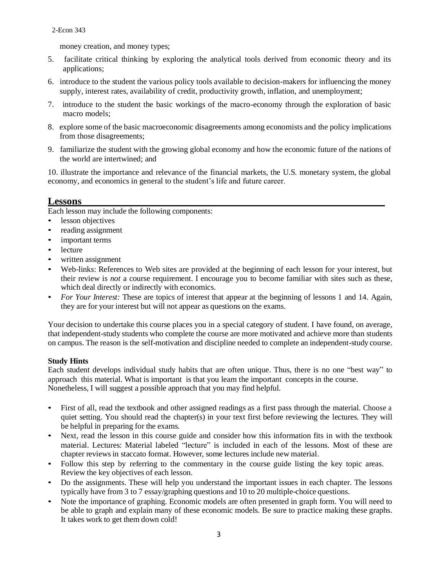money creation, and money types;

- 5. facilitate critical thinking by exploring the analytical tools derived from economic theory and its applications;
- 6. introduce to the student the various policy tools available to decision-makers for influencing the money supply, interest rates, availability of credit, productivity growth, inflation, and unemployment;
- 7. introduce to the student the basic workings of the macro-economy through the exploration of basic macro models;
- 8. explore some of the basic macroeconomic disagreements among economists and the policy implications from those disagreements;
- 9. familiarize the student with the growing global economy and how the economic future of the nations of the world are intertwined; and

10. illustrate the importance and relevance of the financial markets, the U.S. monetary system, the global economy, and economics in general to the student's life and future career.

#### **Lessons**

Each lesson may include the following components:

- lesson objectives
- reading assignment
- important terms
- lecture
- written assignment
- Web-links: References to Web sites are provided at the beginning of each lesson for your interest, but their review is *not* a course requirement. I encourage you to become familiar with sites such as these, which deal directly or indirectly with economics.
- *For Your Interest:* These are topics of interest that appear at the beginning of lessons 1 and 14. Again, they are for your interest but will not appear as questions on the exams.

Your decision to undertake this course places you in a special category of student. I have found, on average, that independent-study students who complete the course are more motivated and achieve more than students on campus. The reason is the self-motivation and discipline needed to complete an independent-study course.

#### **Study Hints**

Each student develops individual study habits that are often unique. Thus, there is no one "best way" to approach this material. What is important is that you learn the important concepts in the course. Nonetheless, I will suggest a possible approach that you may find helpful.

- First of all, read the textbook and other assigned readings as a first pass through the material. Choose a quiet setting. You should read the chapter(s) in your text first before reviewing the lectures. They will be helpful in preparing for the exams.
- Next, read the lesson in this course guide and consider how this information fits in with the textbook material. Lectures: Material labeled "lecture" is included in each of the lessons. Most of these are chapter reviewsin staccato format. However, some lectures include new material.
- Follow this step by referring to the commentary in the course guide listing the key topic areas. Review the key objectives of each lesson.
- Do the assignments. These will help you understand the important issues in each chapter. The lessons typically have from 3 to 7 essay/graphing questions and 10 to 20 multiple-choice questions.
- Note the importance of graphing. Economic models are often presented in graph form. You will need to be able to graph and explain many of these economic models. Be sure to practice making these graphs. It takes work to get them down cold!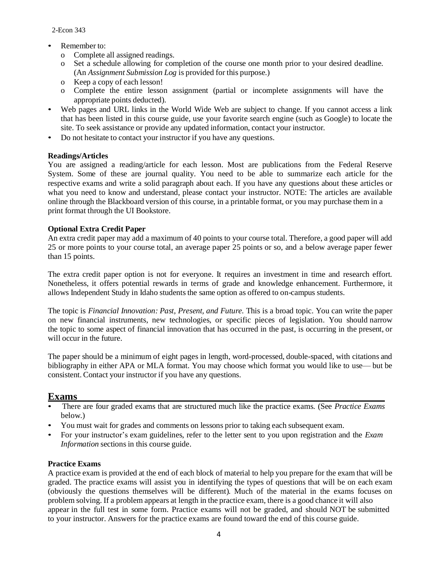2-Econ 343

#### Remember to:

- o Complete all assigned readings.
- o Set a schedule allowing for completion of the course one month prior to your desired deadline. (An *Assignment Submission Log* is provided for this purpose.)
- o Keep a copy of each lesson!
- o Complete the entire lesson assignment (partial or incomplete assignments will have the appropriate points deducted).
- Web pages and URL links in the World Wide Web are subject to change. If you cannot access a link that has been listed in this course guide, use your favorite search engine (such as Google) to locate the site. To seek assistance or provide any updated information, contact your instructor.
- Do not hesitate to contact your instructor if you have any questions.

#### **Readings/Articles**

You are assigned a reading/article for each lesson. Most are publications from the Federal Reserve System. Some of these are journal quality. You need to be able to summarize each article for the respective exams and write a solid paragraph about each. If you have any questions about these articles or what you need to know and understand, please contact your instructor. NOTE: The articles are available online through the Blackboard version of this course, in a printable format, or you may purchase them in a print format through the UI Bookstore.

#### **Optional Extra Credit Paper**

An extra credit paper may add a maximum of 40 points to your course total. Therefore, a good paper will add 25 or more points to your course total, an average paper 25 points or so, and a below average paper fewer than 15 points.

The extra credit paper option is not for everyone. It requires an investment in time and research effort. Nonetheless, it offers potential rewards in terms of grade and knowledge enhancement. Furthermore, it allows Independent Study in Idaho students the same option as offered to on-campus students.

The topic is *Financial Innovation: Past, Present, and Future.* This is a broad topic. You can write the paper on new financial instruments, new technologies, or specific pieces of legislation. You should narrow the topic to some aspect of financial innovation that has occurred in the past, is occurring in the present, or will occur in the future.

The paper should be a minimum of eight pages in length, word-processed, double-spaced, with citations and bibliography in either APA or MLA format. You may choose which format you would like to use— but be consistent. Contact your instructor if you have any questions.

#### **Exams**

- There are four graded exams that are structured much like the practice exams. (See *Practice Exams* below.)
- You must wait for grades and comments on lessons prior to taking each subsequent exam.
- For your instructor's exam guidelines, refer to the letter sent to you upon registration and the *Exam Information* sections in this course guide.

#### **Practice Exams**

A practice exam is provided at the end of each block of material to help you prepare for the exam that will be graded. The practice exams will assist you in identifying the types of questions that will be on each exam (obviously the questions themselves will be different). Much of the material in the exams focuses on problem solving. If a problem appears at length in the practice exam, there is a good chance it will also appear in the full test in some form. Practice exams will not be graded, and should NOT be submitted to your instructor. Answers for the practice exams are found toward the end of this course guide.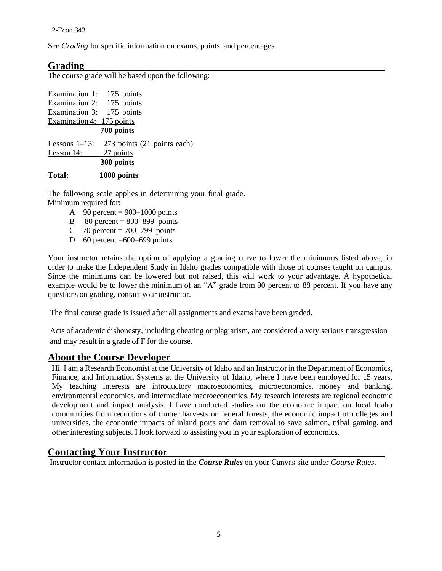See *Grading* for specific information on exams, points, and percentages.

#### **Grading**

The course grade will be based upon the following:

| Examination 1: 175 points |                             |  |  |  |  |
|---------------------------|-----------------------------|--|--|--|--|
| Examination 2: 175 points |                             |  |  |  |  |
| Examination 3: 175 points |                             |  |  |  |  |
| Examination 4: 175 points |                             |  |  |  |  |
| 700 points                |                             |  |  |  |  |
| Lessons $1-13$ :          | 273 points (21 points each) |  |  |  |  |
| Lesson 14:                | 27 points                   |  |  |  |  |
| 300 points                |                             |  |  |  |  |
| Total:                    | 1000 points                 |  |  |  |  |

The following scale applies in determining your final grade. Minimum required for:

- A 90 percent =  $900-1000$  points
- B  $80$  percent =  $800-899$  points
- C 70 percent =  $700-799$  points
- D 60 percent  $=600-699$  points

Your instructor retains the option of applying a grading curve to lower the minimums listed above, in order to make the Independent Study in Idaho grades compatible with those of courses taught on campus. Since the minimums can be lowered but not raised, this will work to your advantage. A hypothetical example would be to lower the minimum of an "A" grade from 90 percent to 88 percent. If you have any questions on grading, contact your instructor.

The final course grade is issued after all assignments and exams have been graded.

Acts of academic dishonesty, including cheating or plagiarism, are considered a very serious transgression and may result in a grade of F for the course.

#### **About the Course Developer**

Hi. I am a Research Economist at the University of Idaho and an Instructor in the Department of Economics, Finance, and Information Systems at the University of Idaho, where I have been employed for 15 years. My teaching interests are introductory macroeconomics, microeconomics, money and banking, environmental economics, and intermediate macroeconomics. My research interests are regional economic development and impact analysis. I have conducted studies on the economic impact on local Idaho communities from reductions of timber harvests on federal forests, the economic impact of colleges and universities, the economic impacts of inland ports and dam removal to save salmon, tribal gaming, and other interesting subjects. I look forward to assisting you in your exploration of economics.

#### **Contacting Your Instructor**

Instructor contact information is posted in the *Course Rules* on your Canvas site under *Course Rules*.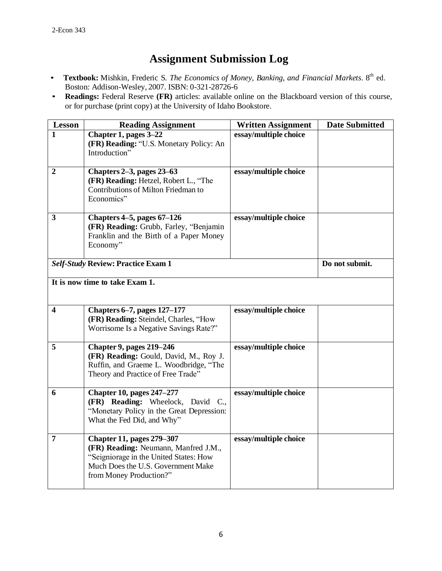# **Assignment Submission Log**

- **Textbook:** Mishkin, Frederic S. *The Economics of Money, Banking, and Financial Markets*. 8 th ed. Boston: Addison-Wesley, 2007. ISBN: 0-321-28726-6
- **Readings:** Federal Reserve **(FR)** articles: available online on the Blackboard version of this course, or for purchase (print copy) at the University of Idaho Bookstore.

| <b>Lesson</b>                  | <b>Reading Assignment</b>                                                                                                                                                           | <b>Written Assignment</b> | <b>Date Submitted</b> |
|--------------------------------|-------------------------------------------------------------------------------------------------------------------------------------------------------------------------------------|---------------------------|-----------------------|
| 1                              | Chapter 1, pages 3-22<br>(FR) Reading: "U.S. Monetary Policy: An<br>Introduction"                                                                                                   | essay/multiple choice     |                       |
| $\boldsymbol{2}$               | Chapters 2–3, pages 23–63<br>(FR) Reading: Hetzel, Robert L., "The<br>Contributions of Milton Friedman to<br>Economics"                                                             | essay/multiple choice     |                       |
| 3                              | Chapters 4-5, pages 67-126<br>(FR) Reading: Grubb, Farley, "Benjamin<br>Franklin and the Birth of a Paper Money<br>Economy"                                                         | essay/multiple choice     |                       |
|                                | <b>Self-Study Review: Practice Exam 1</b>                                                                                                                                           |                           | Do not submit.        |
| It is now time to take Exam 1. |                                                                                                                                                                                     |                           |                       |
| $\overline{\mathbf{4}}$        | <b>Chapters 6-7, pages 127-177</b><br>(FR) Reading: Steindel, Charles, "How<br>Worrisome Is a Negative Savings Rate?"                                                               | essay/multiple choice     |                       |
| 5                              | <b>Chapter 9, pages 219–246</b><br>(FR) Reading: Gould, David, M., Roy J.<br>Ruffin, and Graeme L. Woodbridge, "The<br>Theory and Practice of Free Trade"                           | essay/multiple choice     |                       |
| 6                              | <b>Chapter 10, pages 247-277</b><br>(FR) Reading: Wheelock, David C.,<br>"Monetary Policy in the Great Depression:<br>What the Fed Did, and Why"                                    | essay/multiple choice     |                       |
| $\overline{7}$                 | <b>Chapter 11, pages 279-307</b><br>(FR) Reading: Neumann, Manfred J.M.,<br>"Seigniorage in the United States: How<br>Much Does the U.S. Government Make<br>from Money Production?" | essay/multiple choice     |                       |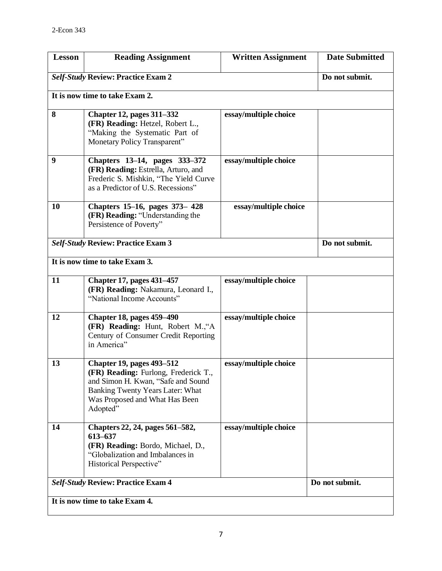| <b>Lesson</b>                  | <b>Reading Assignment</b>                                                                                                                                                                       | <b>Written Assignment</b> | <b>Date Submitted</b> |
|--------------------------------|-------------------------------------------------------------------------------------------------------------------------------------------------------------------------------------------------|---------------------------|-----------------------|
|                                | <b>Self-Study Review: Practice Exam 2</b>                                                                                                                                                       |                           | Do not submit.        |
|                                | It is now time to take Exam 2.                                                                                                                                                                  |                           |                       |
| 8                              | <b>Chapter 12, pages 311-332</b><br>(FR) Reading: Hetzel, Robert L.,<br>"Making the Systematic Part of<br>Monetary Policy Transparent"                                                          | essay/multiple choice     |                       |
| 9                              | Chapters 13–14, pages 333–372<br>(FR) Reading: Estrella, Arturo, and<br>Frederic S. Mishkin, "The Yield Curve<br>as a Predictor of U.S. Recessions"                                             | essay/multiple choice     |                       |
| 10                             | Chapters 15-16, pages 373-428<br>(FR) Reading: "Understanding the<br>Persistence of Poverty"                                                                                                    | essay/multiple choice     |                       |
|                                | <b>Self-Study Review: Practice Exam 3</b>                                                                                                                                                       |                           | Do not submit.        |
|                                | It is now time to take Exam 3.                                                                                                                                                                  |                           |                       |
| 11                             | <b>Chapter 17, pages 431–457</b><br>(FR) Reading: Nakamura, Leonard I.,<br>"National Income Accounts"                                                                                           | essay/multiple choice     |                       |
| 12                             | <b>Chapter 18, pages 459–490</b><br>(FR) Reading: Hunt, Robert M., "A<br>Century of Consumer Credit Reporting<br>in America"                                                                    | essay/multiple choice     |                       |
| 13                             | <b>Chapter 19, pages 493–512</b><br>(FR) Reading: Furlong, Frederick T.<br>and Simon H. Kwan, "Safe and Sound<br>Banking Twenty Years Later: What<br>Was Proposed and What Has Been<br>Adopted" | essay/multiple choice     |                       |
| 14                             | Chapters 22, 24, pages 561-582,<br>613-637<br>(FR) Reading: Bordo, Michael, D.,<br>"Globalization and Imbalances in<br>Historical Perspective"                                                  | essay/multiple choice     |                       |
|                                | <b>Self-Study Review: Practice Exam 4</b>                                                                                                                                                       |                           | Do not submit.        |
| It is now time to take Exam 4. |                                                                                                                                                                                                 |                           |                       |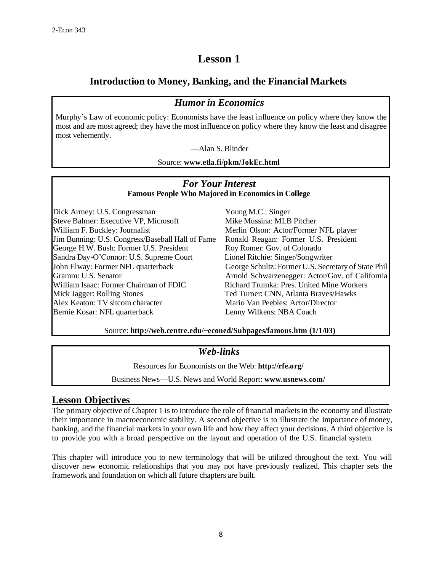# **Lesson 1**

## **Introduction to Money, Banking, and the Financial Markets**

# *Humor in Economics*

Murphy's Law of economic policy: Economists have the least influence on policy where they know the most and are most agreed; they have the most influence on policy where they know the least and disagree most vehemently.

—Alan S. Blinder

Source: **[www.etla.fi/pkm/JokEc.html](http://www.etla.fi/pkm/JokEc.html)**

#### *For Your Interest* **Famous People Who Majored in Economics in College**

Dick Armey: U.S. Congressman Young M.C.: Singer Steve Balmer: Executive VP, Microsoft Mike Mussina: MLB Pitcher William F. Buckley: Journalist **Merlin Olson: Actor/Former NFL** player Jim Bunning: U.S. Congress/Baseball Hall of Fame Ronald Reagan: Former U.S. President George H.W. Bush: Former U.S. President Roy Romer: Gov. of Colorado Sandra Day-O'Connor: U.S. Supreme Court Lionel Ritchie: Singer/Songwriter William Isaac: Former Chairman of FDIC Richard Trumka: Pres. United Mine Workers Mick Jagger: Rolling Stones Ted Turner: CNN, Atlanta Braves/Hawks Alex Keaton: TV sitcom character Mario Van Peebles: Actor/Director Bernie Kosar: NFL quarterback Lenny Wilkens: NBA Coach

John Elway: Former NFL quarterback George Schultz: Former U.S. Secretary of State Phil Gramm: U.S. Senator **Arnold Schwarzenegger: Actor/Gov. of California** 

Source: **<http://web.centre.edu/~econed/Subpages/famous.htm> (1/1/03)**

#### *Web-links*

Resources for Economists on the Web: **<http://rfe.org/>**

Business News—U.S. News and World Report: **[www.usnews.com/](http://www.usnews.com/)**

#### **Lesson Objectives**

The primary objective of Chapter 1 is to introduce the role of financial markets in the economy and illustrate their importance in macroeconomic stability. A second objective is to illustrate the importance of money, banking, and the financial markets in your own life and how they affect your decisions. A third objective is to provide you with a broad perspective on the layout and operation of the U.S. financial system.

This chapter will introduce you to new terminology that will be utilized throughout the text. You will discover new economic relationships that you may not have previously realized. This chapter sets the framework and foundation on which all future chapters are built.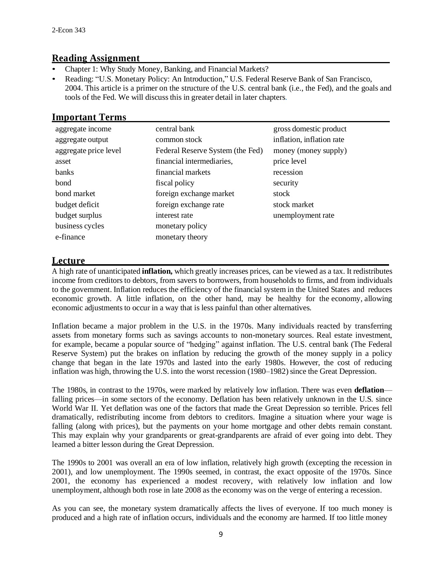#### **Reading Assignment**

- Chapter 1: Why Study Money, Banking, and Financial Markets?
- Reading: "U.S. Monetary Policy: An Introduction," U.S. Federal Reserve Bank of San Francisco, 2004. This article is a primer on the structure of the U.S. central bank (i.e., the Fed), and the goals and tools of the Fed. We will discuss this in greater detail in later chapters.

#### **Important Terms**

| aggregate income      | central bank                     | gross domestic product    |
|-----------------------|----------------------------------|---------------------------|
| aggregate output      | common stock                     | inflation, inflation rate |
| aggregate price level | Federal Reserve System (the Fed) | money (money supply)      |
| asset                 | financial intermediaries,        | price level               |
| banks                 | financial markets                | recession                 |
| bond                  | fiscal policy                    | security                  |
| bond market           | foreign exchange market          | stock                     |
| budget deficit        | foreign exchange rate            | stock market              |
| budget surplus        | interest rate                    | unemployment rate         |
| business cycles       | monetary policy                  |                           |
| e-finance             | monetary theory                  |                           |

#### **Lecture**

A high rate of unanticipated **inflation,** which greatly increases prices, can be viewed as a tax. It redistributes income from creditors to debtors, from savers to borrowers, from households to firms, and from individuals to the government. Inflation reduces the efficiency of the financial system in the United States and reduces economic growth. A little inflation, on the other hand, may be healthy for the economy, allowing economic adjustments to occur in a way that is less painful than other alternatives.

Inflation became a major problem in the U.S. in the 1970s. Many individuals reacted by transferring assets from monetary forms such as savings accounts to non-monetary sources. Real estate investment, for example, became a popular source of "hedging" against inflation. The U.S. central bank (The Federal Reserve System) put the brakes on inflation by reducing the growth of the money supply in a policy change that began in the late 1970s and lasted into the early 1980s. However, the cost of reducing inflation was high, throwing the U.S. into the worst recession  $(1980-1982)$  since the Great Depression.

The 1980s, in contrast to the 1970s, were marked by relatively low inflation. There was even **deflation** falling prices—in some sectors of the economy. Deflation has been relatively unknown in the U.S. since World War II. Yet deflation was one of the factors that made the Great Depression so terrible. Prices fell dramatically, redistributing income from debtors to creditors. Imagine a situation where your wage is falling (along with prices), but the payments on your home mortgage and other debts remain constant. This may explain why your grandparents or great-grandparents are afraid of ever going into debt. They learned a bitter lesson during the Great Depression.

The 1990s to 2001 was overall an era of low inflation, relatively high growth (excepting the recession in 2001), and low unemployment. The 1990s seemed, in contrast, the exact opposite of the 1970s. Since 2001, the economy has experienced a modest recovery, with relatively low inflation and low unemployment, although both rose in late 2008 as the economy was on the verge of entering a recession.

As you can see, the monetary system dramatically affects the lives of everyone. If too much money is produced and a high rate of inflation occurs, individuals and the economy are harmed. If too little money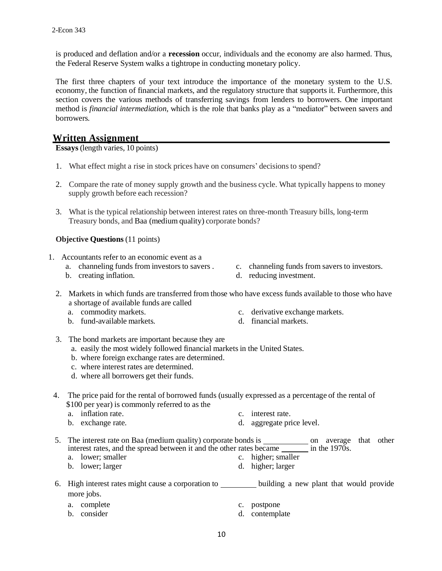is produced and deflation and/or a **recession** occur, individuals and the economy are also harmed. Thus, the Federal Reserve System walks a tightrope in conducting monetary policy.

The first three chapters of your text introduce the importance of the monetary system to the U.S. economy, the function of financial markets, and the regulatory structure that supports it. Furthermore, this section covers the various methods of transferring savings from lenders to borrowers. One important method is *financial intermediation,* which is the role that banks play as a "mediator" between savers and borrowers.

#### **Written Assignment**

**Essays** (length varies, 10 points)

- 1. What effect might a rise in stock prices have on consumers' decisionsto spend?
- 2. Compare the rate of money supply growth and the business cycle. What typically happens to money supply growth before each recession?
- 3. What is the typical relationship between interest rates on three-month Treasury bills, long-term Treasury bonds, and Baa (medium quality) corporate bonds?

#### **Objective Questions** (11 points)

- 1. Accountants refer to an economic event as a
	- a. channeling funds from investors to savers .
	- b. creating inflation.
- c. channeling funds from savers to investors.
- d. reducing investment.
- 2. Markets in which funds are transferred from those who have excess funds available to those who have a shortage of available funds are called
	- a. commodity markets.
	- b. fund-available markets.
- c. derivative exchange markets.
- d. financial markets.
- 3. The bond markets are important because they are
	- a. easily the most widely followed financial marketsin the United States.
	- b. where foreign exchange rates are determined.
	- c. where interest rates are determined.
	- d. where all borrowers get their funds.
- 4. The price paid for the rental of borrowed funds (usually expressed as a percentage of the rental of \$100 per year) is commonly referred to as the
	- a. inflation rate.
	- b. exchange rate.
- c. interest rate.
- d. aggregate price level.
- 5. The interest rate on Baa (medium quality) corporate bonds is \_\_\_\_\_\_\_\_\_\_\_\_\_\_\_\_ on average that other interest rates, and the spread between it and the other rates became  $\frac{ }{ }$  in the 1970s. a. lower; smaller b. lower; larger c. higher; smaller d. higher; larger
- 6. High interest rates might cause a corporation to building a new plant that would provide more jobs.
	- a. complete
	- b. consider
- c. postpone
	- d. contemplate